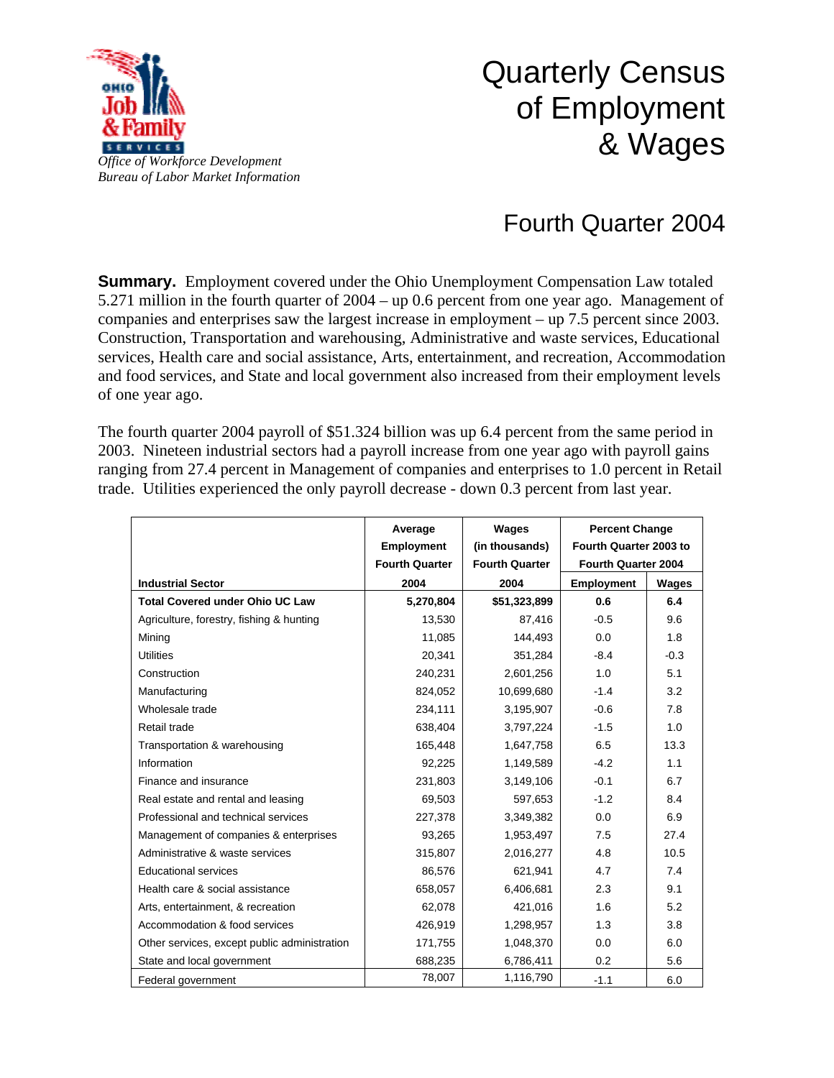

## Quarterly Census of Employment & Wages

## Fourth Quarter 2004

**Summary.** Employment covered under the Ohio Unemployment Compensation Law totaled 5.271 million in the fourth quarter of 2004 – up 0.6 percent from one year ago. Management of companies and enterprises saw the largest increase in employment – up 7.5 percent since 2003. Construction, Transportation and warehousing, Administrative and waste services, Educational services, Health care and social assistance, Arts, entertainment, and recreation, Accommodation and food services, and State and local government also increased from their employment levels of one year ago.

The fourth quarter 2004 payroll of \$51.324 billion was up 6.4 percent from the same period in 2003. Nineteen industrial sectors had a payroll increase from one year ago with payroll gains ranging from 27.4 percent in Management of companies and enterprises to 1.0 percent in Retail trade. Utilities experienced the only payroll decrease - down 0.3 percent from last year.

|                                              | Average<br><b>Employment</b> | <b>Wages</b><br>(in thousands) | <b>Percent Change</b><br>Fourth Quarter 2003 to<br>Fourth Quarter 2004 |        |
|----------------------------------------------|------------------------------|--------------------------------|------------------------------------------------------------------------|--------|
|                                              | <b>Fourth Quarter</b>        | <b>Fourth Quarter</b>          |                                                                        |        |
| <b>Industrial Sector</b>                     | 2004                         | 2004                           | Employment                                                             | Wages  |
| <b>Total Covered under Ohio UC Law</b>       | 5,270,804                    | \$51,323,899                   | 0.6                                                                    | 6.4    |
| Agriculture, forestry, fishing & hunting     | 13.530                       | 87,416                         | $-0.5$                                                                 | 9.6    |
| Mining                                       | 11,085                       | 144,493                        | 0.0                                                                    | 1.8    |
| <b>Utilities</b>                             | 20,341                       | 351,284                        | $-8.4$                                                                 | $-0.3$ |
| Construction                                 | 240,231                      | 2,601,256                      | 1.0                                                                    | 5.1    |
| Manufacturing                                | 824,052                      | 10,699,680                     | $-1.4$                                                                 | 3.2    |
| Wholesale trade                              | 234,111                      | 3,195,907                      | $-0.6$                                                                 | 7.8    |
| Retail trade                                 | 638,404                      | 3,797,224                      | $-1.5$                                                                 | 1.0    |
| Transportation & warehousing                 | 165,448                      | 1,647,758                      | 6.5                                                                    | 13.3   |
| Information                                  | 92.225                       | 1,149,589                      | $-4.2$                                                                 | 1.1    |
| Finance and insurance                        | 231,803                      | 3,149,106                      | $-0.1$                                                                 | 6.7    |
| Real estate and rental and leasing           | 69,503                       | 597,653                        | $-1.2$                                                                 | 8.4    |
| Professional and technical services          | 227,378                      | 3,349,382                      | 0.0                                                                    | 6.9    |
| Management of companies & enterprises        | 93,265                       | 1,953,497                      | 7.5                                                                    | 27.4   |
| Administrative & waste services              | 315,807                      | 2,016,277                      | 4.8                                                                    | 10.5   |
| <b>Educational services</b>                  | 86,576                       | 621,941                        | 4.7                                                                    | 7.4    |
| Health care & social assistance              | 658,057                      | 6,406,681                      | 2.3                                                                    | 9.1    |
| Arts, entertainment, & recreation            | 62,078                       | 421,016                        | 1.6                                                                    | 5.2    |
| Accommodation & food services                | 426,919                      | 1,298,957                      | 1.3                                                                    | 3.8    |
| Other services, except public administration | 171,755                      | 1,048,370                      | 0.0                                                                    | 6.0    |
| State and local government                   | 688,235                      | 6,786,411                      | 0.2                                                                    | 5.6    |
| Federal government                           | 78,007                       | 1,116,790                      | $-1.1$                                                                 | 6.0    |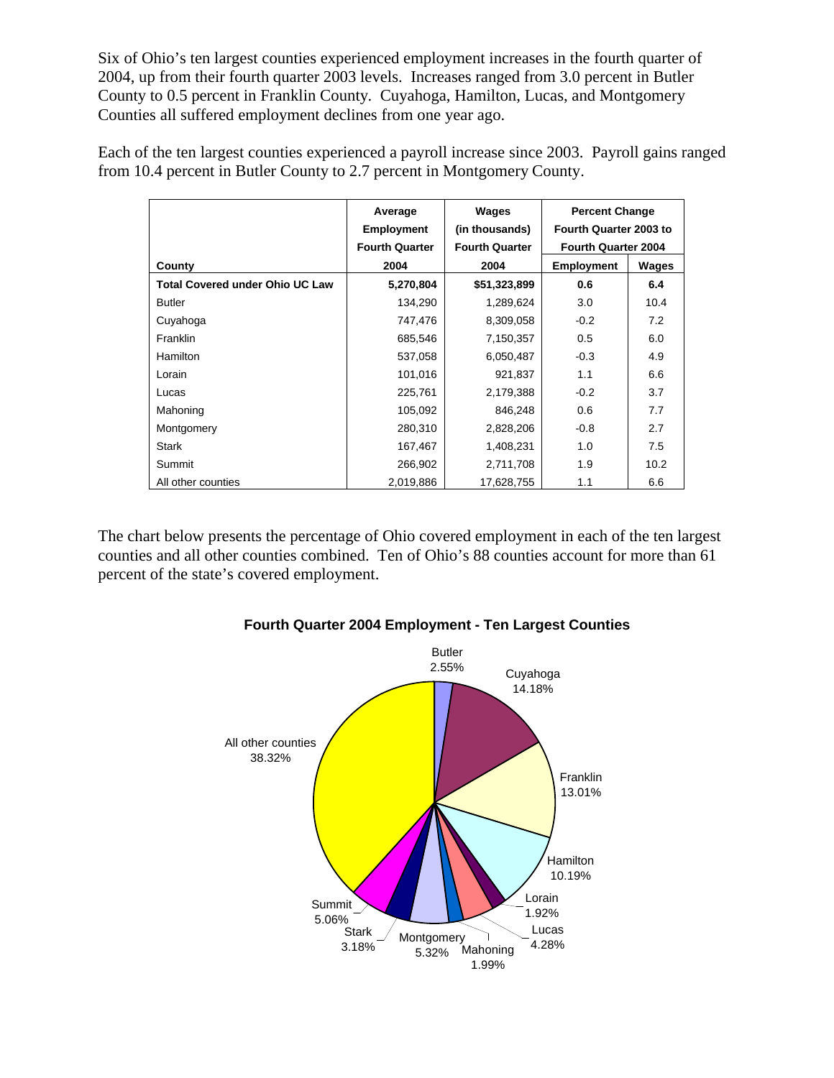Six of Ohio's ten largest counties experienced employment increases in the fourth quarter of 2004, up from their fourth quarter 2003 levels. Increases ranged from 3.0 percent in Butler County to 0.5 percent in Franklin County. Cuyahoga, Hamilton, Lucas, and Montgomery Counties all suffered employment declines from one year ago.

Each of the ten largest counties experienced a payroll increase since 2003. Payroll gains ranged from 10.4 percent in Butler County to 2.7 percent in Montgomery County.

|                                        | Average               | Wages                 | <b>Percent Change</b><br>Fourth Quarter 2003 to<br><b>Fourth Quarter 2004</b> |       |
|----------------------------------------|-----------------------|-----------------------|-------------------------------------------------------------------------------|-------|
|                                        | <b>Employment</b>     | (in thousands)        |                                                                               |       |
|                                        | <b>Fourth Quarter</b> | <b>Fourth Quarter</b> |                                                                               |       |
| County                                 | 2004                  | 2004                  | <b>Employment</b>                                                             | Wages |
| <b>Total Covered under Ohio UC Law</b> | 5,270,804             | \$51,323,899          | 0.6                                                                           | 6.4   |
| <b>Butler</b>                          | 134,290               | 1,289,624             | 3.0                                                                           | 10.4  |
| Cuyahoga                               | 747,476               | 8,309,058             | $-0.2$                                                                        | 7.2   |
| Franklin                               | 685,546               | 7,150,357             | 0.5                                                                           | 6.0   |
| Hamilton                               | 537,058               | 6,050,487             | $-0.3$                                                                        | 4.9   |
| Lorain                                 | 101,016               | 921,837               | 1.1                                                                           | 6.6   |
| Lucas                                  | 225,761               | 2,179,388             | $-0.2$                                                                        | 3.7   |
| Mahoning                               | 105,092               | 846,248               | 0.6                                                                           | 7.7   |
| Montgomery                             | 280,310               | 2,828,206             | $-0.8$                                                                        | 2.7   |
| <b>Stark</b>                           | 167,467               | 1,408,231             | 1.0                                                                           | 7.5   |
| Summit                                 | 266,902               | 2,711,708             | 1.9                                                                           | 10.2  |
| All other counties                     | 2,019,886             | 17,628,755            | 1.1                                                                           | 6.6   |

The chart below presents the percentage of Ohio covered employment in each of the ten largest counties and all other counties combined. Ten of Ohio's 88 counties account for more than 61 percent of the state's covered employment.



## **Fourth Quarter 2004 Employment - Ten Largest Counties**